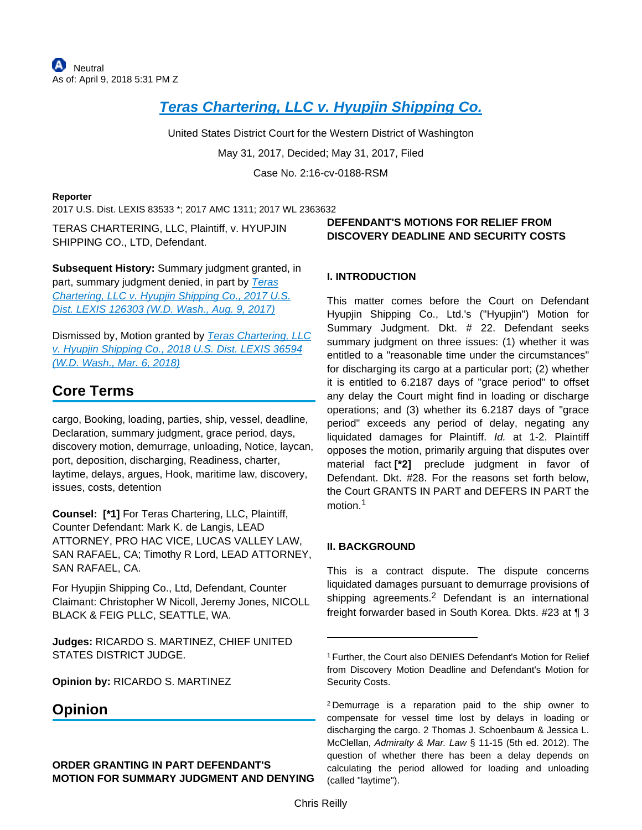## **[Teras Chartering, LLC v. Hyupjin Shipping Co.](https://advance.lexis.com/api/document?collection=cases&id=urn:contentItem:5NNY-7J51-F04F-J1B9-00000-00&context=)**

United States District Court for the Western District of Washington

May 31, 2017, Decided; May 31, 2017, Filed

Case No. 2:16-cv-0188-RSM

#### **Reporter**

2017 U.S. Dist. LEXIS 83533 \*; 2017 AMC 1311; 2017 WL 2363632

TERAS CHARTERING, LLC, Plaintiff, v. HYUPJIN SHIPPING CO., LTD, Defendant.

**Subsequent History:** Summary judgment granted, in part, summary judgment denied, in part by Teras [Chartering, LLC v. Hyupjin Shipping Co., 2017 U.S.](https://advance.lexis.com/api/document?collection=cases&id=urn:contentItem:5P6S-F5D1-F04F-J04F-00000-00&context=)  [Dist. LEXIS 126303 \(W.D. Wash., Aug. 9, 2017\)](https://advance.lexis.com/api/document?collection=cases&id=urn:contentItem:5P6S-F5D1-F04F-J04F-00000-00&context=)

Dismissed by, Motion granted by [Teras Chartering, LLC](https://advance.lexis.com/api/document?collection=cases&id=urn:contentItem:5RTD-HS91-F2F4-G0P5-00000-00&context=)  [v. Hyupjin Shipping Co., 2018 U.S. Dist. LEXIS 36594](https://advance.lexis.com/api/document?collection=cases&id=urn:contentItem:5RTD-HS91-F2F4-G0P5-00000-00&context=)  [\(W.D. Wash., Mar. 6, 2018\)](https://advance.lexis.com/api/document?collection=cases&id=urn:contentItem:5RTD-HS91-F2F4-G0P5-00000-00&context=)

# **Core Terms**

cargo, Booking, loading, parties, ship, vessel, deadline, Declaration, summary judgment, grace period, days, discovery motion, demurrage, unloading, Notice, laycan, port, deposition, discharging, Readiness, charter, laytime, delays, argues, Hook, maritime law, discovery, issues, costs, detention

**Counsel: [\*1]** For Teras Chartering, LLC, Plaintiff, Counter Defendant: Mark K. de Langis, LEAD ATTORNEY, PRO HAC VICE, LUCAS VALLEY LAW, SAN RAFAEL, CA; Timothy R Lord, LEAD ATTORNEY, SAN RAFAEL, CA.

For Hyupjin Shipping Co., Ltd, Defendant, Counter Claimant: Christopher W Nicoll, Jeremy Jones, NICOLL BLACK & FEIG PLLC, SEATTLE, WA.

**Judges:** RICARDO S. MARTINEZ, CHIEF UNITED STATES DISTRICT JUDGE.

**Opinion by:** RICARDO S. MARTINEZ

## **Opinion**

## **ORDER GRANTING IN PART DEFENDANT'S MOTION FOR SUMMARY JUDGMENT AND DENYING**

## **DEFENDANT'S MOTIONS FOR RELIEF FROM DISCOVERY DEADLINE AND SECURITY COSTS**

## **I. INTRODUCTION**

This matter comes before the Court on Defendant Hyupjin Shipping Co., Ltd.'s ("Hyupjin") Motion for Summary Judgment. Dkt. # 22. Defendant seeks summary judgment on three issues: (1) whether it was entitled to a "reasonable time under the circumstances" for discharging its cargo at a particular port; (2) whether it is entitled to 6.2187 days of "grace period" to offset any delay the Court might find in loading or discharge operations; and (3) whether its 6.2187 days of "grace period" exceeds any period of delay, negating any liquidated damages for Plaintiff. Id. at 1-2. Plaintiff opposes the motion, primarily arguing that disputes over material fact **[\*2]** preclude judgment in favor of Defendant. Dkt. #28. For the reasons set forth below, the Court GRANTS IN PART and DEFERS IN PART the motion.<sup>1</sup>

### **II. BACKGROUND**

This is a contract dispute. The dispute concerns liquidated damages pursuant to demurrage provisions of shipping agreements.<sup>2</sup> Defendant is an international freight forwarder based in South Korea. Dkts. #23 at ¶ 3

<sup>1</sup>Further, the Court also DENIES Defendant's Motion for Relief from Discovery Motion Deadline and Defendant's Motion for Security Costs.

<sup>2</sup>Demurrage is a reparation paid to the ship owner to compensate for vessel time lost by delays in loading or discharging the cargo. 2 Thomas J. Schoenbaum & Jessica L. McClellan, Admiralty & Mar. Law § 11-15 (5th ed. 2012). The question of whether there has been a delay depends on calculating the period allowed for loading and unloading (called "laytime").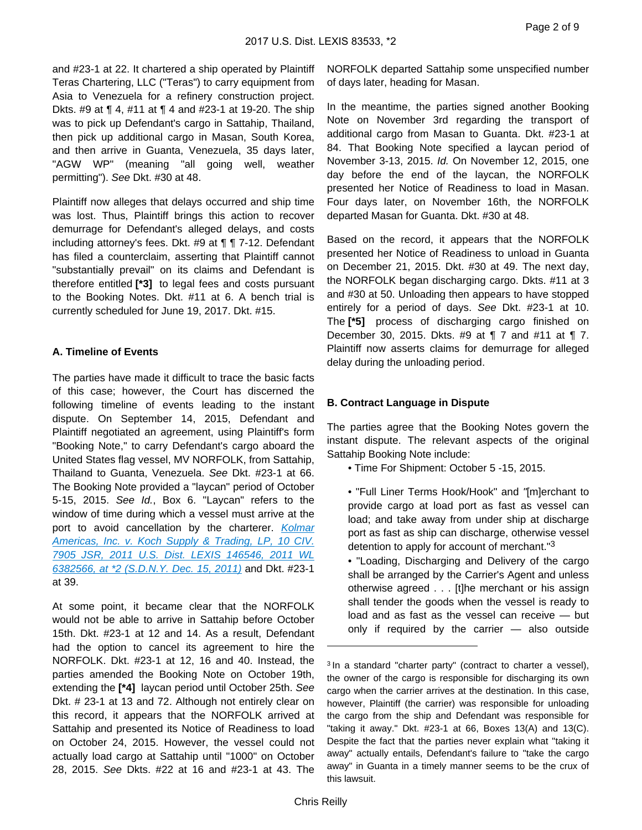and #23-1 at 22. It chartered a ship operated by Plaintiff Teras Chartering, LLC ("Teras") to carry equipment from Asia to Venezuela for a refinery construction project. Dkts. #9 at ¶ 4, #11 at ¶ 4 and #23-1 at 19-20. The ship was to pick up Defendant's cargo in Sattahip, Thailand, then pick up additional cargo in Masan, South Korea, and then arrive in Guanta, Venezuela, 35 days later, "AGW WP" (meaning "all going well, weather permitting"). See Dkt. #30 at 48.

Plaintiff now alleges that delays occurred and ship time was lost. Thus, Plaintiff brings this action to recover demurrage for Defendant's alleged delays, and costs including attorney's fees. Dkt. #9 at ¶ ¶ 7-12. Defendant has filed a counterclaim, asserting that Plaintiff cannot "substantially prevail" on its claims and Defendant is therefore entitled **[\*3]** to legal fees and costs pursuant to the Booking Notes. Dkt. #11 at 6. A bench trial is currently scheduled for June 19, 2017. Dkt. #15.

### **A. Timeline of Events**

The parties have made it difficult to trace the basic facts of this case; however, the Court has discerned the following timeline of events leading to the instant dispute. On September 14, 2015, Defendant and Plaintiff negotiated an agreement, using Plaintiff's form "Booking Note," to carry Defendant's cargo aboard the United States flag vessel, MV NORFOLK, from Sattahip, Thailand to Guanta, Venezuela. See Dkt. #23-1 at 66. The Booking Note provided a "laycan" period of October 5-15, 2015. See Id., Box 6. "Laycan" refers to the window of time during which a vessel must arrive at the port to avoid cancellation by the charterer. Kolmar [Americas, Inc. v. Koch Supply & Trading, LP, 10 CIV.](https://advance.lexis.com/api/document?collection=cases&id=urn:contentItem:54J2-BFY1-F04F-02D7-00000-00&context=)  [7905 JSR, 2011 U.S. Dist. LEXIS 146546, 2011 WL](https://advance.lexis.com/api/document?collection=cases&id=urn:contentItem:54J2-BFY1-F04F-02D7-00000-00&context=)  [6382566, at \\*2 \(S.D.N.Y. Dec. 15, 2011\)](https://advance.lexis.com/api/document?collection=cases&id=urn:contentItem:54J2-BFY1-F04F-02D7-00000-00&context=) and Dkt. #23-1 at 39.

At some point, it became clear that the NORFOLK would not be able to arrive in Sattahip before October 15th. Dkt. #23-1 at 12 and 14. As a result, Defendant had the option to cancel its agreement to hire the NORFOLK. Dkt. #23-1 at 12, 16 and 40. Instead, the parties amended the Booking Note on October 19th, extending the **[\*4]** laycan period until October 25th. See Dkt. # 23-1 at 13 and 72. Although not entirely clear on this record, it appears that the NORFOLK arrived at Sattahip and presented its Notice of Readiness to load on October 24, 2015. However, the vessel could not actually load cargo at Sattahip until "1000" on October 28, 2015. See Dkts. #22 at 16 and #23-1 at 43. The

NORFOLK departed Sattahip some unspecified number of days later, heading for Masan.

In the meantime, the parties signed another Booking Note on November 3rd regarding the transport of additional cargo from Masan to Guanta. Dkt. #23-1 at 84. That Booking Note specified a laycan period of November 3-13, 2015. Id. On November 12, 2015, one day before the end of the laycan, the NORFOLK presented her Notice of Readiness to load in Masan. Four days later, on November 16th, the NORFOLK departed Masan for Guanta. Dkt. #30 at 48.

Based on the record, it appears that the NORFOLK presented her Notice of Readiness to unload in Guanta on December 21, 2015. Dkt. #30 at 49. The next day, the NORFOLK began discharging cargo. Dkts. #11 at 3 and #30 at 50. Unloading then appears to have stopped entirely for a period of days. See Dkt. #23-1 at 10. The **[\*5]** process of discharging cargo finished on December 30, 2015. Dkts. #9 at ¶ 7 and #11 at ¶ 7. Plaintiff now asserts claims for demurrage for alleged delay during the unloading period.

#### **B. Contract Language in Dispute**

The parties agree that the Booking Notes govern the instant dispute. The relevant aspects of the original Sattahip Booking Note include:

- Time For Shipment: October 5 -15, 2015.
- "Full Liner Terms Hook/Hook" and "[m]erchant to provide cargo at load port as fast as vessel can load; and take away from under ship at discharge port as fast as ship can discharge, otherwise vessel detention to apply for account of merchant."<sup>3</sup>
- "Loading, Discharging and Delivery of the cargo shall be arranged by the Carrier's Agent and unless otherwise agreed . . . [t]he merchant or his assign shall tender the goods when the vessel is ready to load and as fast as the vessel can receive — but only if required by the carrier — also outside

<sup>&</sup>lt;sup>3</sup> In a standard "charter party" (contract to charter a vessel), the owner of the cargo is responsible for discharging its own cargo when the carrier arrives at the destination. In this case, however, Plaintiff (the carrier) was responsible for unloading the cargo from the ship and Defendant was responsible for "taking it away." Dkt. #23-1 at 66, Boxes 13(A) and 13(C). Despite the fact that the parties never explain what "taking it away" actually entails, Defendant's failure to "take the cargo away" in Guanta in a timely manner seems to be the crux of this lawsuit.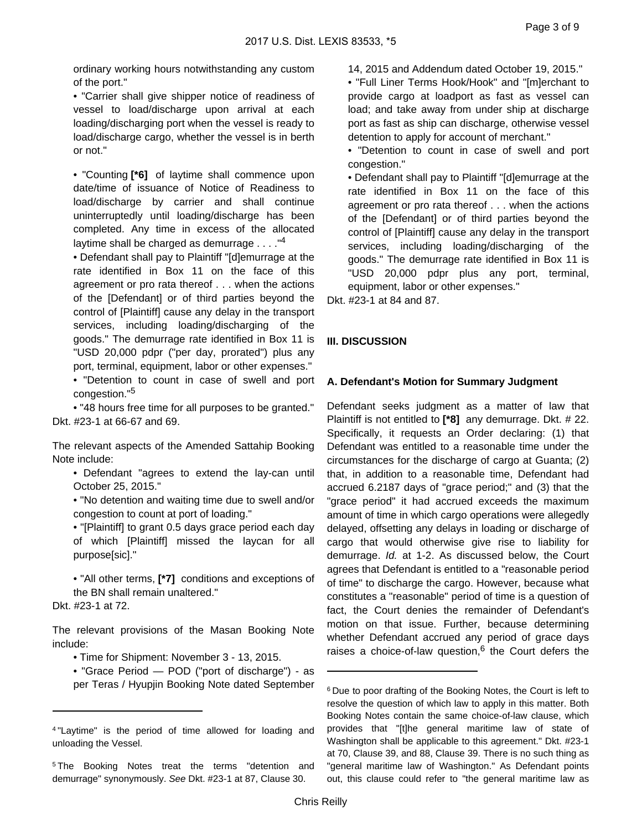ordinary working hours notwithstanding any custom of the port."

• "Carrier shall give shipper notice of readiness of vessel to load/discharge upon arrival at each loading/discharging port when the vessel is ready to load/discharge cargo, whether the vessel is in berth or not."

• "Counting **[\*6]** of laytime shall commence upon date/time of issuance of Notice of Readiness to load/discharge by carrier and shall continue uninterruptedly until loading/discharge has been completed. Any time in excess of the allocated laytime shall be charged as demurrage  $\dots$ ."<sup>4</sup>

• Defendant shall pay to Plaintiff "[d]emurrage at the rate identified in Box 11 on the face of this agreement or pro rata thereof . . . when the actions of the [Defendant] or of third parties beyond the control of [Plaintiff] cause any delay in the transport services, including loading/discharging of the goods." The demurrage rate identified in Box 11 is "USD 20,000 pdpr ("per day, prorated") plus any port, terminal, equipment, labor or other expenses." • "Detention to count in case of swell and port congestion."<sup>5</sup>

• "48 hours free time for all purposes to be granted." Dkt. #23-1 at 66-67 and 69.

The relevant aspects of the Amended Sattahip Booking Note include:

• Defendant "agrees to extend the lay-can until October 25, 2015."

• "No detention and waiting time due to swell and/or congestion to count at port of loading."

• "[Plaintiff] to grant 0.5 days grace period each day of which [Plaintiff] missed the laycan for all purpose[sic]."

• "All other terms, **[\*7]** conditions and exceptions of the BN shall remain unaltered."

Dkt. #23-1 at 72.

The relevant provisions of the Masan Booking Note include:

• Time for Shipment: November 3 - 13, 2015.

• "Grace Period — POD ("port of discharge") - as per Teras / Hyupjin Booking Note dated September 14, 2015 and Addendum dated October 19, 2015."

• "Full Liner Terms Hook/Hook" and "[m]erchant to provide cargo at loadport as fast as vessel can load; and take away from under ship at discharge port as fast as ship can discharge, otherwise vessel detention to apply for account of merchant."

• "Detention to count in case of swell and port congestion."

• Defendant shall pay to Plaintiff "[d]emurrage at the rate identified in Box 11 on the face of this agreement or pro rata thereof . . . when the actions of the [Defendant] or of third parties beyond the control of [Plaintiff] cause any delay in the transport services, including loading/discharging of the goods." The demurrage rate identified in Box 11 is "USD 20,000 pdpr plus any port, terminal, equipment, labor or other expenses."

Dkt. #23-1 at 84 and 87.

## **III. DISCUSSION**

### **A. Defendant's Motion for Summary Judgment**

Defendant seeks judgment as a matter of law that Plaintiff is not entitled to **[\*8]** any demurrage. Dkt. # 22. Specifically, it requests an Order declaring: (1) that Defendant was entitled to a reasonable time under the circumstances for the discharge of cargo at Guanta; (2) that, in addition to a reasonable time, Defendant had accrued 6.2187 days of "grace period;" and (3) that the "grace period" it had accrued exceeds the maximum amount of time in which cargo operations were allegedly delayed, offsetting any delays in loading or discharge of cargo that would otherwise give rise to liability for demurrage. Id. at 1-2. As discussed below, the Court agrees that Defendant is entitled to a "reasonable period of time" to discharge the cargo. However, because what constitutes a "reasonable" period of time is a question of fact, the Court denies the remainder of Defendant's motion on that issue. Further, because determining whether Defendant accrued any period of grace days raises a choice-of-law question,<sup>6</sup> the Court defers the

<sup>4</sup>"Laytime" is the period of time allowed for loading and unloading the Vessel.

<sup>&</sup>lt;sup>5</sup>The Booking Notes treat the terms "detention and demurrage" synonymously. See Dkt. #23-1 at 87, Clause 30.

<sup>&</sup>lt;sup>6</sup> Due to poor drafting of the Booking Notes, the Court is left to resolve the question of which law to apply in this matter. Both Booking Notes contain the same choice-of-law clause, which provides that "[t]he general maritime law of state of Washington shall be applicable to this agreement." Dkt. #23-1 at 70, Clause 39, and 88, Clause 39. There is no such thing as "general maritime law of Washington." As Defendant points out, this clause could refer to "the general maritime law as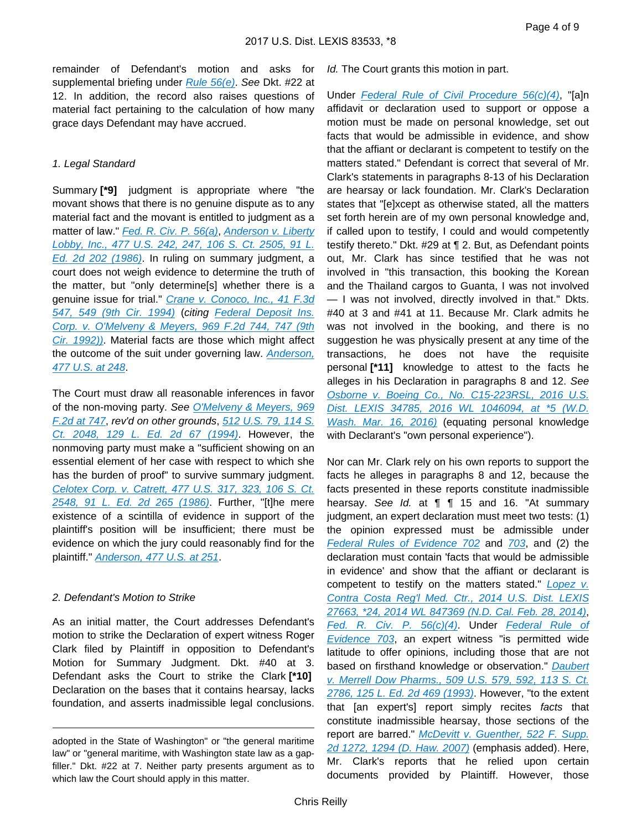remainder of Defendant's motion and asks for supplemental briefing under Rule  $56(e)$ . See Dkt. #22 at 12. In addition, the record also raises questions of material fact pertaining to the calculation of how many grace days Defendant may have accrued.

#### 1. Legal Standard

Summary **[\*9]** judgment is appropriate where "the movant shows that there is no genuine dispute as to any material fact and the movant is entitled to judgment as a matter of law." [Fed. R. Civ. P. 56\(a\)](https://advance.lexis.com/api/document?collection=statutes-legislation&id=urn:contentItem:5GYC-2421-6N19-F165-00000-00&context=), Anderson v. Liberty [Lobby, Inc., 477 U.S. 242, 247, 106 S. Ct. 2505, 91 L.](https://advance.lexis.com/api/document?collection=cases&id=urn:contentItem:3S4X-6H80-0039-N37M-00000-00&context=)  [Ed. 2d 202 \(1986\)](https://advance.lexis.com/api/document?collection=cases&id=urn:contentItem:3S4X-6H80-0039-N37M-00000-00&context=). In ruling on summary judgment, a court does not weigh evidence to determine the truth of the matter, but "only determine[s] whether there is a genuine issue for trial." Crane v. Conoco, Inc., 41 F.3d [547, 549 \(9th Cir. 1994\)](https://advance.lexis.com/api/document?collection=cases&id=urn:contentItem:3S4X-0NW0-003B-P47N-00000-00&context=) (citing [Federal Deposit Ins.](https://advance.lexis.com/api/document?collection=cases&id=urn:contentItem:3S4X-2TW0-008H-V165-00000-00&context=)  [Corp. v. O'Melveny & Meyers, 969 F.2d 744, 747 \(9th](https://advance.lexis.com/api/document?collection=cases&id=urn:contentItem:3S4X-2TW0-008H-V165-00000-00&context=)  [Cir. 1992\)\)](https://advance.lexis.com/api/document?collection=cases&id=urn:contentItem:3S4X-2TW0-008H-V165-00000-00&context=). Material facts are those which might affect the outcome of the suit under governing law. *Anderson*, [477 U.S. at 248](https://advance.lexis.com/api/document?collection=cases&id=urn:contentItem:3S4X-6H80-0039-N37M-00000-00&context=).

The Court must draw all reasonable inferences in favor of the non-moving party. See O'Melveny & Meyers, 969 [F.2d at 747](https://advance.lexis.com/api/document?collection=cases&id=urn:contentItem:3S4X-2TW0-008H-V165-00000-00&context=), rev'd on other grounds, [512 U.S. 79, 114 S.](https://advance.lexis.com/api/document?collection=cases&id=urn:contentItem:3S65-JVJ0-003B-R09N-00000-00&context=)  [Ct. 2048, 129 L. Ed. 2d 67 \(1994\)](https://advance.lexis.com/api/document?collection=cases&id=urn:contentItem:3S65-JVJ0-003B-R09N-00000-00&context=). However, the nonmoving party must make a "sufficient showing on an essential element of her case with respect to which she has the burden of proof" to survive summary judgment. [Celotex Corp. v. Catrett, 477 U.S. 317, 323, 106 S. Ct.](https://advance.lexis.com/api/document?collection=cases&id=urn:contentItem:3S4X-6HC0-0039-N37R-00000-00&context=)  [2548, 91 L. Ed. 2d 265 \(1986\)](https://advance.lexis.com/api/document?collection=cases&id=urn:contentItem:3S4X-6HC0-0039-N37R-00000-00&context=). Further, "[t]he mere existence of a scintilla of evidence in support of the plaintiff's position will be insufficient; there must be evidence on which the jury could reasonably find for the plaintiff." [Anderson, 477 U.S. at 251](https://advance.lexis.com/api/document?collection=cases&id=urn:contentItem:3S4X-6H80-0039-N37M-00000-00&context=).

#### 2. Defendant's Motion to Strike

As an initial matter, the Court addresses Defendant's motion to strike the Declaration of expert witness Roger Clark filed by Plaintiff in opposition to Defendant's Motion for Summary Judgment. Dkt. #40 at 3. Defendant asks the Court to strike the Clark **[\*10]**  Declaration on the bases that it contains hearsay, lacks foundation, and asserts inadmissible legal conclusions.

Id. The Court grants this motion in part.

Under [Federal Rule of Civil Procedure 56\(c\)\(4\)](https://advance.lexis.com/api/document?collection=statutes-legislation&id=urn:contentItem:5GYC-2421-6N19-F165-00000-00&context=), "[a]n affidavit or declaration used to support or oppose a motion must be made on personal knowledge, set out facts that would be admissible in evidence, and show that the affiant or declarant is competent to testify on the matters stated." Defendant is correct that several of Mr. Clark's statements in paragraphs 8-13 of his Declaration are hearsay or lack foundation. Mr. Clark's Declaration states that "[e]xcept as otherwise stated, all the matters set forth herein are of my own personal knowledge and, if called upon to testify, I could and would competently testify thereto." Dkt. #29 at ¶ 2. But, as Defendant points out, Mr. Clark has since testified that he was not involved in "this transaction, this booking the Korean and the Thailand cargos to Guanta, I was not involved — I was not involved, directly involved in that." Dkts. #40 at 3 and #41 at 11. Because Mr. Clark admits he was not involved in the booking, and there is no suggestion he was physically present at any time of the transactions, he does not have the requisite personal **[\*11]** knowledge to attest to the facts he alleges in his Declaration in paragraphs 8 and 12. See [Osborne v. Boeing Co., No. C15-223RSL, 2016 U.S.](https://advance.lexis.com/api/document?collection=cases&id=urn:contentItem:5JB3-G991-F04F-J1XP-00000-00&context=)  [Dist. LEXIS 34785, 2016 WL 1046094, at \\*5 \(W.D.](https://advance.lexis.com/api/document?collection=cases&id=urn:contentItem:5JB3-G991-F04F-J1XP-00000-00&context=)  [Wash. Mar. 16, 2016\)](https://advance.lexis.com/api/document?collection=cases&id=urn:contentItem:5JB3-G991-F04F-J1XP-00000-00&context=) (equating personal knowledge with Declarant's "own personal experience").

Nor can Mr. Clark rely on his own reports to support the facts he alleges in paragraphs 8 and 12, because the facts presented in these reports constitute inadmissible hearsay. See Id. at **[1]** 15 and 16. "At summary judgment, an expert declaration must meet two tests: (1) the opinion expressed must be admissible under [Federal Rules of Evidence 702](https://advance.lexis.com/api/document?collection=statutes-legislation&id=urn:contentItem:5GYC-2991-FG36-120S-00000-00&context=) and [703](https://advance.lexis.com/api/document?collection=statutes-legislation&id=urn:contentItem:5GYC-2991-FG36-120V-00000-00&context=), and (2) the declaration must contain 'facts that would be admissible in evidence' and show that the affiant or declarant is competent to testify on the matters stated."  $L$ opez v. Contra Costa Reg'l Med. Ctr., 2014 U.S. Dist. LEXIS [27663, \\*24, 2014 WL 847369 \(N.D. Cal. Feb. 28, 2014\)](https://advance.lexis.com/api/document?collection=cases&id=urn:contentItem:5BN7-63F1-F04C-T0R8-00000-00&context=), [Fed. R. Civ. P. 56\(c\)\(4\)](https://advance.lexis.com/api/document?collection=statutes-legislation&id=urn:contentItem:5GYC-2421-6N19-F165-00000-00&context=). Under Federal Rule of [Evidence 703](https://advance.lexis.com/api/document?collection=statutes-legislation&id=urn:contentItem:5GYC-2991-FG36-120V-00000-00&context=), an expert witness "is permitted wide latitude to offer opinions, including those that are not based on firsthand knowledge or observation." Daubert [v. Merrell Dow Pharms., 509 U.S. 579, 592, 113 S. Ct.](https://advance.lexis.com/api/document?collection=cases&id=urn:contentItem:3S4W-XDR0-003B-R3R6-00000-00&context=)  [2786, 125 L. Ed. 2d 469 \(1993\)](https://advance.lexis.com/api/document?collection=cases&id=urn:contentItem:3S4W-XDR0-003B-R3R6-00000-00&context=). However, "to the extent that [an expert's] report simply recites facts that constitute inadmissible hearsay, those sections of the report are barred." McDevitt v. Guenther, 522 F. Supp. [2d 1272, 1294 \(D. Haw. 2007\)](https://advance.lexis.com/api/document?collection=cases&id=urn:contentItem:4P85-0950-TXFP-P2X6-00000-00&context=) (emphasis added). Here, Mr. Clark's reports that he relied upon certain documents provided by Plaintiff. However, those

adopted in the State of Washington" or "the general maritime law" or "general maritime, with Washington state law as a gapfiller." Dkt. #22 at 7. Neither party presents argument as to which law the Court should apply in this matter.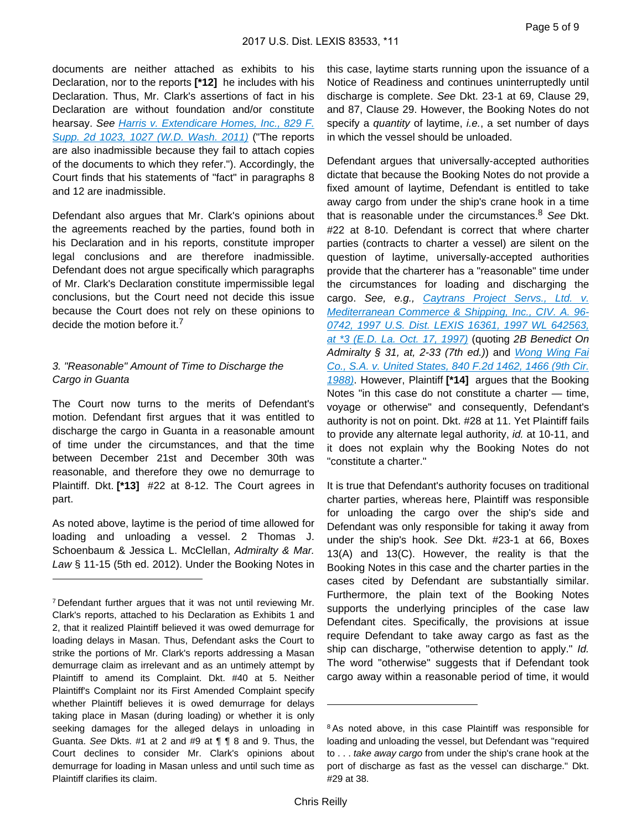documents are neither attached as exhibits to his Declaration, nor to the reports **[\*12]** he includes with his Declaration. Thus, Mr. Clark's assertions of fact in his Declaration are without foundation and/or constitute hearsay. See [Harris v. Extendicare Homes, Inc., 829 F.](https://advance.lexis.com/api/document?collection=cases&id=urn:contentItem:83KF-XC41-652K-03R5-00000-00&context=)  [Supp. 2d 1023, 1027 \(W.D. Wash. 2011\)](https://advance.lexis.com/api/document?collection=cases&id=urn:contentItem:83KF-XC41-652K-03R5-00000-00&context=) ("The reports are also inadmissible because they fail to attach copies of the documents to which they refer."). Accordingly, the Court finds that his statements of "fact" in paragraphs 8 and 12 are inadmissible.

Defendant also argues that Mr. Clark's opinions about the agreements reached by the parties, found both in his Declaration and in his reports, constitute improper legal conclusions and are therefore inadmissible. Defendant does not argue specifically which paragraphs of Mr. Clark's Declaration constitute impermissible legal conclusions, but the Court need not decide this issue because the Court does not rely on these opinions to decide the motion before it.<sup>7</sup>

### 3. "Reasonable" Amount of Time to Discharge the Cargo in Guanta

The Court now turns to the merits of Defendant's motion. Defendant first argues that it was entitled to discharge the cargo in Guanta in a reasonable amount of time under the circumstances, and that the time between December 21st and December 30th was reasonable, and therefore they owe no demurrage to Plaintiff. Dkt. **[\*13]** #22 at 8-12. The Court agrees in part.

As noted above, laytime is the period of time allowed for loading and unloading a vessel. 2 Thomas J. Schoenbaum & Jessica L. McClellan, Admiralty & Mar. Law § 11-15 (5th ed. 2012). Under the Booking Notes in this case, laytime starts running upon the issuance of a Notice of Readiness and continues uninterruptedly until discharge is complete. See Dkt. 23-1 at 69, Clause 29, and 87, Clause 29. However, the Booking Notes do not specify a *quantity* of laytime, *i.e.*, a set number of days in which the vessel should be unloaded.

Defendant argues that universally-accepted authorities dictate that because the Booking Notes do not provide a fixed amount of laytime, Defendant is entitled to take away cargo from under the ship's crane hook in a time that is reasonable under the circumstances. $8$  See Dkt. #22 at 8-10. Defendant is correct that where charter parties (contracts to charter a vessel) are silent on the question of laytime, universally-accepted authorities provide that the charterer has a "reasonable" time under the circumstances for loading and discharging the cargo. See, e.g., Caytrans Project Servs., Ltd. v. [Mediterranean Commerce & Shipping, Inc., CIV. A. 96-](https://advance.lexis.com/api/document?collection=cases&id=urn:contentItem:3RSN-MR20-00B1-F3JN-00000-00&context=) [0742, 1997 U.S. Dist. LEXIS 16361, 1997 WL 642563,](https://advance.lexis.com/api/document?collection=cases&id=urn:contentItem:3RSN-MR20-00B1-F3JN-00000-00&context=)  [at \\*3 \(E.D. La. Oct. 17, 1997\)](https://advance.lexis.com/api/document?collection=cases&id=urn:contentItem:3RSN-MR20-00B1-F3JN-00000-00&context=) (quoting 2B Benedict On Admiralty § 31, at, 2-33 (7th ed.)) and Wong Wing Fai [Co., S.A. v. United States, 840 F.2d 1462, 1466 \(9th Cir.](https://advance.lexis.com/api/document?collection=cases&id=urn:contentItem:3S4X-2F70-001B-K41F-00000-00&context=)  [1988\)](https://advance.lexis.com/api/document?collection=cases&id=urn:contentItem:3S4X-2F70-001B-K41F-00000-00&context=). However, Plaintiff **[\*14]** argues that the Booking Notes "in this case do not constitute a charter — time, voyage or otherwise" and consequently, Defendant's authority is not on point. Dkt. #28 at 11. Yet Plaintiff fails to provide any alternate legal authority, id. at 10-11, and it does not explain why the Booking Notes do not "constitute a charter."

It is true that Defendant's authority focuses on traditional charter parties, whereas here, Plaintiff was responsible for unloading the cargo over the ship's side and Defendant was only responsible for taking it away from under the ship's hook. See Dkt. #23-1 at 66, Boxes 13(A) and 13(C). However, the reality is that the Booking Notes in this case and the charter parties in the cases cited by Defendant are substantially similar. Furthermore, the plain text of the Booking Notes supports the underlying principles of the case law Defendant cites. Specifically, the provisions at issue require Defendant to take away cargo as fast as the ship can discharge, "otherwise detention to apply." *Id.* The word "otherwise" suggests that if Defendant took cargo away within a reasonable period of time, it would

<sup>7</sup>Defendant further argues that it was not until reviewing Mr. Clark's reports, attached to his Declaration as Exhibits 1 and 2, that it realized Plaintiff believed it was owed demurrage for loading delays in Masan. Thus, Defendant asks the Court to strike the portions of Mr. Clark's reports addressing a Masan demurrage claim as irrelevant and as an untimely attempt by Plaintiff to amend its Complaint. Dkt. #40 at 5. Neither Plaintiff's Complaint nor its First Amended Complaint specify whether Plaintiff believes it is owed demurrage for delays taking place in Masan (during loading) or whether it is only seeking damages for the alleged delays in unloading in Guanta. See Dkts. #1 at 2 and #9 at ¶ ¶ 8 and 9. Thus, the Court declines to consider Mr. Clark's opinions about demurrage for loading in Masan unless and until such time as Plaintiff clarifies its claim.

<sup>&</sup>lt;sup>8</sup>As noted above, in this case Plaintiff was responsible for loading and unloading the vessel, but Defendant was "required to . . . take away cargo from under the ship's crane hook at the port of discharge as fast as the vessel can discharge." Dkt. #29 at 38.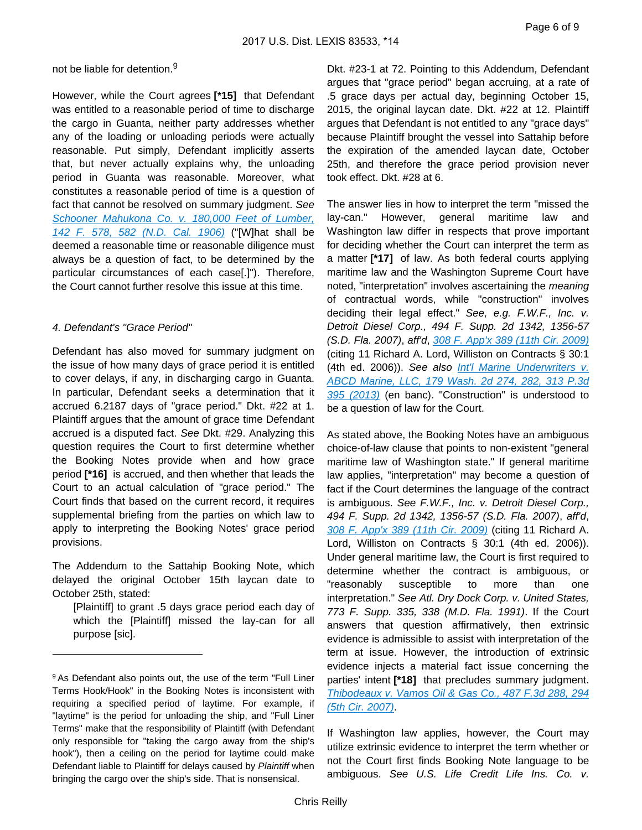#### not be liable for detention.<sup>9</sup>

However, while the Court agrees **[\*15]** that Defendant was entitled to a reasonable period of time to discharge the cargo in Guanta, neither party addresses whether any of the loading or unloading periods were actually reasonable. Put simply, Defendant implicitly asserts that, but never actually explains why, the unloading period in Guanta was reasonable. Moreover, what constitutes a reasonable period of time is a question of fact that cannot be resolved on summary judgment. See Schooner Mahukona Co. v. 180,000 Feet of Lumber, [142 F. 578, 582 \(N.D. Cal. 1906\)](https://advance.lexis.com/api/document?collection=cases&id=urn:contentItem:3S4V-JNC0-003B-M34R-00000-00&context=) ("[W]hat shall be deemed a reasonable time or reasonable diligence must always be a question of fact, to be determined by the particular circumstances of each case[.]"). Therefore, the Court cannot further resolve this issue at this time.

#### 4. Defendant's "Grace Period"

Defendant has also moved for summary judgment on the issue of how many days of grace period it is entitled to cover delays, if any, in discharging cargo in Guanta. In particular, Defendant seeks a determination that it accrued 6.2187 days of "grace period." Dkt. #22 at 1. Plaintiff argues that the amount of grace time Defendant accrued is a disputed fact. See Dkt. #29. Analyzing this question requires the Court to first determine whether the Booking Notes provide when and how grace period **[\*16]** is accrued, and then whether that leads the Court to an actual calculation of "grace period." The Court finds that based on the current record, it requires supplemental briefing from the parties on which law to apply to interpreting the Booking Notes' grace period provisions.

The Addendum to the Sattahip Booking Note, which delayed the original October 15th laycan date to October 25th, stated:

[Plaintiff] to grant .5 days grace period each day of which the [Plaintiff] missed the lay-can for all purpose [sic].

Dkt. #23-1 at 72. Pointing to this Addendum, Defendant argues that "grace period" began accruing, at a rate of .5 grace days per actual day, beginning October 15, 2015, the original laycan date. Dkt. #22 at 12. Plaintiff argues that Defendant is not entitled to any "grace days" because Plaintiff brought the vessel into Sattahip before the expiration of the amended laycan date, October 25th, and therefore the grace period provision never took effect. Dkt. #28 at 6.

The answer lies in how to interpret the term "missed the lay-can." However, general maritime law and Washington law differ in respects that prove important for deciding whether the Court can interpret the term as a matter **[\*17]** of law. As both federal courts applying maritime law and the Washington Supreme Court have noted, "interpretation" involves ascertaining the *meaning* of contractual words, while "construction" involves deciding their legal effect." See, e.g. F.W.F., Inc. v. Detroit Diesel Corp., 494 F. Supp. 2d 1342, 1356-57 (S.D. Fla. 2007), aff'd, [308 F. App'x 389 \(11th Cir. 2009\)](https://advance.lexis.com/api/document?collection=cases&id=urn:contentItem:4VF7-8YM0-TXFX-G2B1-00000-00&context=) (citing 11 Richard A. Lord, Williston on Contracts § 30:1 (4th ed. 2006)). See also *Int'l Marine Underwriters v.* [ABCD Marine, LLC, 179 Wash. 2d 274, 282, 313 P.3d](https://advance.lexis.com/api/document?collection=cases&id=urn:contentItem:59XM-RTD1-F04M-C0DM-00000-00&context=)  [395 \(2013\)](https://advance.lexis.com/api/document?collection=cases&id=urn:contentItem:59XM-RTD1-F04M-C0DM-00000-00&context=) (en banc). "Construction" is understood to be a question of law for the Court.

As stated above, the Booking Notes have an ambiguous choice-of-law clause that points to non-existent "general maritime law of Washington state." If general maritime law applies, "interpretation" may become a question of fact if the Court determines the language of the contract is ambiguous. See F.W.F., Inc. v. Detroit Diesel Corp., 494 F. Supp. 2d 1342, 1356-57 (S.D. Fla. 2007), aff'd, [308 F. App'x 389 \(11th Cir. 2009\)](https://advance.lexis.com/api/document?collection=cases&id=urn:contentItem:4VF7-8YM0-TXFX-G2B1-00000-00&context=) (citing 11 Richard A. Lord, Williston on Contracts § 30:1 (4th ed. 2006)). Under general maritime law, the Court is first required to determine whether the contract is ambiguous, or "reasonably susceptible to more than one interpretation." See Atl. Dry Dock Corp. v. United States, 773 F. Supp. 335, 338 (M.D. Fla. 1991). If the Court answers that question affirmatively, then extrinsic evidence is admissible to assist with interpretation of the term at issue. However, the introduction of extrinsic evidence injects a material fact issue concerning the parties' intent **[\*18]** that precludes summary judgment. [Thibodeaux v. Vamos Oil & Gas Co., 487 F.3d 288, 294](https://advance.lexis.com/api/document?collection=cases&id=urn:contentItem:4NS3-80R0-0038-X1F8-00000-00&context=)  [\(5th Cir. 2007\)](https://advance.lexis.com/api/document?collection=cases&id=urn:contentItem:4NS3-80R0-0038-X1F8-00000-00&context=).

If Washington law applies, however, the Court may utilize extrinsic evidence to interpret the term whether or not the Court first finds Booking Note language to be ambiguous. See U.S. Life Credit Life Ins. Co. v.

<sup>9</sup>As Defendant also points out, the use of the term "Full Liner Terms Hook/Hook" in the Booking Notes is inconsistent with requiring a specified period of laytime. For example, if "laytime" is the period for unloading the ship, and "Full Liner Terms" make that the responsibility of Plaintiff (with Defendant only responsible for "taking the cargo away from the ship's hook"), then a ceiling on the period for laytime could make Defendant liable to Plaintiff for delays caused by Plaintiff when bringing the cargo over the ship's side. That is nonsensical.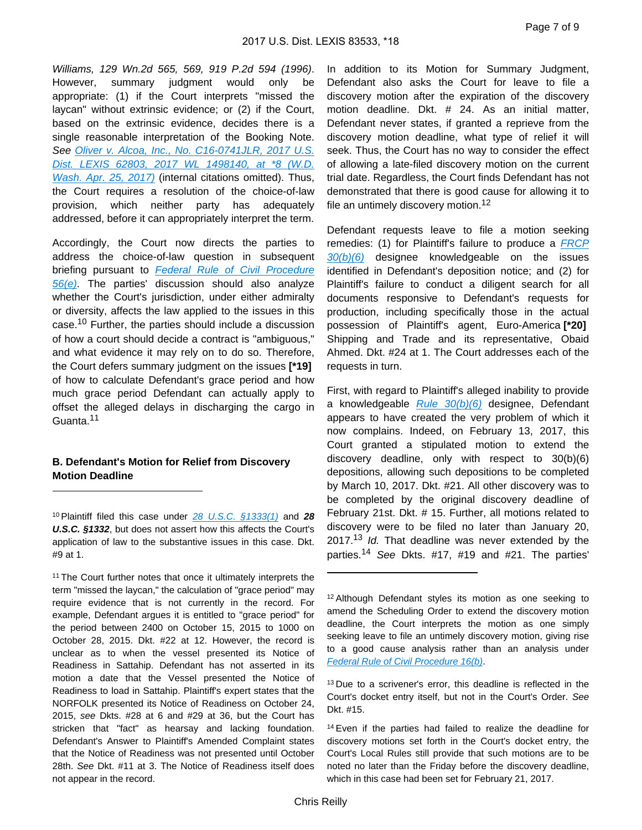Williams, 129 Wn.2d 565, 569, 919 P.2d 594 (1996). However, summary judgment would only be appropriate: (1) if the Court interprets "missed the laycan" without extrinsic evidence; or (2) if the Court, based on the extrinsic evidence, decides there is a single reasonable interpretation of the Booking Note. See Oliver v. Alcoa, Inc., No. C16-0741JLR, 2017 U.S. [Dist. LEXIS 62803, 2017 WL 1498140, at \\*8 \(W.D.](https://advance.lexis.com/api/document?collection=cases&id=urn:contentItem:5ND7-T591-F04F-J008-00000-00&context=)  [Wash. Apr. 25, 2017\)](https://advance.lexis.com/api/document?collection=cases&id=urn:contentItem:5ND7-T591-F04F-J008-00000-00&context=) (internal citations omitted). Thus, the Court requires a resolution of the choice-of-law provision, which neither party has adequately addressed, before it can appropriately interpret the term.

Accordingly, the Court now directs the parties to address the choice-of-law question in subsequent briefing pursuant to Federal Rule of Civil Procedure  $56(e)$ . The parties' discussion should also analyze whether the Court's jurisdiction, under either admiralty or diversity, affects the law applied to the issues in this case.10 Further, the parties should include a discussion of how a court should decide a contract is "ambiguous," and what evidence it may rely on to do so. Therefore, the Court defers summary judgment on the issues **[\*19]**  of how to calculate Defendant's grace period and how much grace period Defendant can actually apply to offset the alleged delays in discharging the cargo in Guanta.<sup>11</sup>

### **B. Defendant's Motion for Relief from Discovery Motion Deadline**

In addition to its Motion for Summary Judgment, Defendant also asks the Court for leave to file a discovery motion after the expiration of the discovery motion deadline. Dkt. # 24. As an initial matter, Defendant never states, if granted a reprieve from the discovery motion deadline, what type of relief it will seek. Thus, the Court has no way to consider the effect of allowing a late-filed discovery motion on the current trial date. Regardless, the Court finds Defendant has not demonstrated that there is good cause for allowing it to file an untimely discovery motion.<sup>12</sup>

Defendant requests leave to file a motion seeking remedies: (1) for Plaintiff's failure to produce a [FRCP](https://advance.lexis.com/api/document?collection=statutes-legislation&id=urn:contentItem:8JD7-0CJ2-D6RV-H55F-00000-00&context=)   $30(b)(6)$  designee knowledgeable on the issues identified in Defendant's deposition notice; and (2) for Plaintiff's failure to conduct a diligent search for all documents responsive to Defendant's requests for production, including specifically those in the actual possession of Plaintiff's agent, Euro-America **[\*20]**  Shipping and Trade and its representative, Obaid Ahmed. Dkt. #24 at 1. The Court addresses each of the requests in turn.

First, with regard to Plaintiff's alleged inability to provide a knowledgeable  $Rule 30(b)(6)$  designee, Defendant appears to have created the very problem of which it now complains. Indeed, on February 13, 2017, this Court granted a stipulated motion to extend the discovery deadline, only with respect to 30(b)(6) depositions, allowing such depositions to be completed by March 10, 2017. Dkt. #21. All other discovery was to be completed by the original discovery deadline of February 21st. Dkt. # 15. Further, all motions related to discovery were to be filed no later than January 20, 2017.<sup>13</sup> Id. That deadline was never extended by the parties.<sup>14</sup> See Dkts. #17, #19 and #21. The parties'

<sup>10</sup>Plaintiff filed this case under [28 U.S.C. §1333\(1\)](https://advance.lexis.com/api/document?collection=statutes-legislation&id=urn:contentItem:4YF7-GRK1-NRF4-44KY-00000-00&context=) and **28 U.S.C. §1332**, but does not assert how this affects the Court's application of law to the substantive issues in this case. Dkt. #9 at 1.

<sup>&</sup>lt;sup>11</sup> The Court further notes that once it ultimately interprets the term "missed the laycan," the calculation of "grace period" may require evidence that is not currently in the record. For example, Defendant argues it is entitled to "grace period" for the period between 2400 on October 15, 2015 to 1000 on October 28, 2015. Dkt. #22 at 12. However, the record is unclear as to when the vessel presented its Notice of Readiness in Sattahip. Defendant has not asserted in its motion a date that the Vessel presented the Notice of Readiness to load in Sattahip. Plaintiff's expert states that the NORFOLK presented its Notice of Readiness on October 24, 2015, see Dkts. #28 at 6 and #29 at 36, but the Court has stricken that "fact" as hearsay and lacking foundation. Defendant's Answer to Plaintiff's Amended Complaint states that the Notice of Readiness was not presented until October 28th. See Dkt. #11 at 3. The Notice of Readiness itself does not appear in the record.

<sup>12</sup> Although Defendant styles its motion as one seeking to amend the Scheduling Order to extend the discovery motion deadline, the Court interprets the motion as one simply seeking leave to file an untimely discovery motion, giving rise to a good cause analysis rather than an analysis under [Federal Rule of Civil Procedure 16\(b\)](https://advance.lexis.com/api/document?collection=statutes-legislation&id=urn:contentItem:8JD7-4G92-8T6X-702K-00000-00&context=).

<sup>&</sup>lt;sup>13</sup> Due to a scrivener's error, this deadline is reflected in the Court's docket entry itself, but not in the Court's Order. See Dkt. #15.

<sup>14</sup>Even if the parties had failed to realize the deadline for discovery motions set forth in the Court's docket entry, the Court's Local Rules still provide that such motions are to be noted no later than the Friday before the discovery deadline, which in this case had been set for February 21, 2017.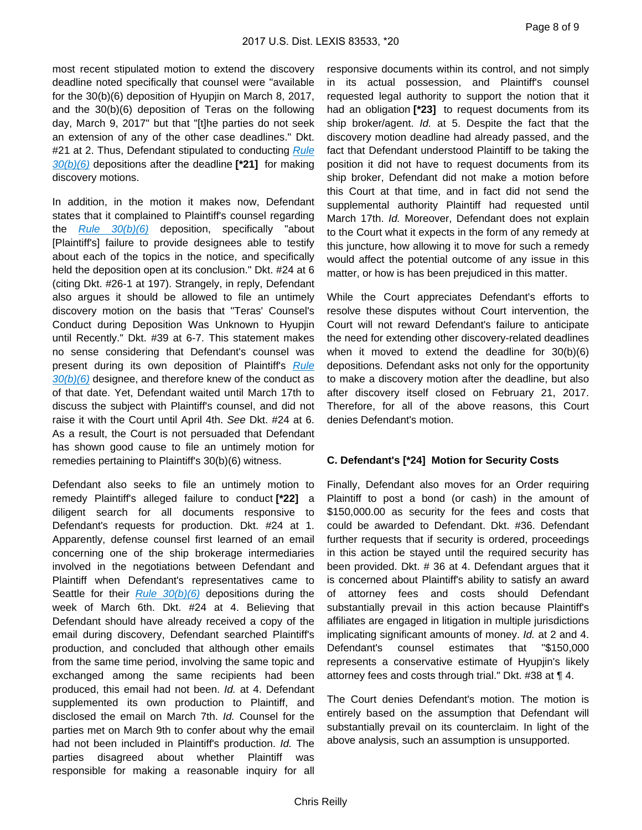most recent stipulated motion to extend the discovery deadline noted specifically that counsel were "available for the 30(b)(6) deposition of Hyupjin on March 8, 2017, and the 30(b)(6) deposition of Teras on the following day, March 9, 2017" but that "[t]he parties do not seek an extension of any of the other case deadlines." Dkt. #21 at 2. Thus, Defendant stipulated to conducting Rule [30\(b\)\(6\)](https://advance.lexis.com/api/document?collection=statutes-legislation&id=urn:contentItem:8JD7-0CJ2-D6RV-H55F-00000-00&context=) depositions after the deadline **[\*21]** for making discovery motions.

In addition, in the motion it makes now, Defendant states that it complained to Plaintiff's counsel regarding the  $Rule 30(b)(6)$  deposition, specifically "about [Plaintiff's] failure to provide designees able to testify about each of the topics in the notice, and specifically held the deposition open at its conclusion." Dkt. #24 at 6 (citing Dkt. #26-1 at 197). Strangely, in reply, Defendant also argues it should be allowed to file an untimely discovery motion on the basis that "Teras' Counsel's Conduct during Deposition Was Unknown to Hyupjin until Recently." Dkt. #39 at 6-7. This statement makes no sense considering that Defendant's counsel was present during its own deposition of Plaintiff's Rule  $30(b)(6)$  designee, and therefore knew of the conduct as of that date. Yet, Defendant waited until March 17th to discuss the subject with Plaintiff's counsel, and did not raise it with the Court until April 4th. See Dkt. #24 at 6. As a result, the Court is not persuaded that Defendant has shown good cause to file an untimely motion for remedies pertaining to Plaintiff's 30(b)(6) witness.

Defendant also seeks to file an untimely motion to remedy Plaintiff's alleged failure to conduct **[\*22]** a diligent search for all documents responsive to Defendant's requests for production. Dkt. #24 at 1. Apparently, defense counsel first learned of an email concerning one of the ship brokerage intermediaries involved in the negotiations between Defendant and Plaintiff when Defendant's representatives came to Seattle for their  $Rule 30(b)(6)$  depositions during the week of March 6th. Dkt. #24 at 4. Believing that Defendant should have already received a copy of the email during discovery, Defendant searched Plaintiff's production, and concluded that although other emails from the same time period, involving the same topic and exchanged among the same recipients had been produced, this email had not been. Id. at 4. Defendant supplemented its own production to Plaintiff, and disclosed the email on March 7th. Id. Counsel for the parties met on March 9th to confer about why the email had not been included in Plaintiff's production. Id. The parties disagreed about whether Plaintiff was responsible for making a reasonable inquiry for all

responsive documents within its control, and not simply in its actual possession, and Plaintiff's counsel requested legal authority to support the notion that it had an obligation **[\*23]** to request documents from its ship broker/agent. Id. at 5. Despite the fact that the discovery motion deadline had already passed, and the fact that Defendant understood Plaintiff to be taking the position it did not have to request documents from its ship broker, Defendant did not make a motion before this Court at that time, and in fact did not send the supplemental authority Plaintiff had requested until March 17th. Id. Moreover, Defendant does not explain to the Court what it expects in the form of any remedy at this juncture, how allowing it to move for such a remedy would affect the potential outcome of any issue in this matter, or how is has been prejudiced in this matter.

While the Court appreciates Defendant's efforts to resolve these disputes without Court intervention, the Court will not reward Defendant's failure to anticipate the need for extending other discovery-related deadlines when it moved to extend the deadline for 30(b)(6) depositions. Defendant asks not only for the opportunity to make a discovery motion after the deadline, but also after discovery itself closed on February 21, 2017. Therefore, for all of the above reasons, this Court denies Defendant's motion.

#### **C. Defendant's [\*24] Motion for Security Costs**

Finally, Defendant also moves for an Order requiring Plaintiff to post a bond (or cash) in the amount of \$150,000.00 as security for the fees and costs that could be awarded to Defendant. Dkt. #36. Defendant further requests that if security is ordered, proceedings in this action be stayed until the required security has been provided. Dkt. # 36 at 4. Defendant argues that it is concerned about Plaintiff's ability to satisfy an award of attorney fees and costs should Defendant substantially prevail in this action because Plaintiff's affiliates are engaged in litigation in multiple jurisdictions implicating significant amounts of money. Id. at 2 and 4. Defendant's counsel estimates that "\$150,000 represents a conservative estimate of Hyupjin's likely attorney fees and costs through trial." Dkt. #38 at ¶ 4.

The Court denies Defendant's motion. The motion is entirely based on the assumption that Defendant will substantially prevail on its counterclaim. In light of the above analysis, such an assumption is unsupported.